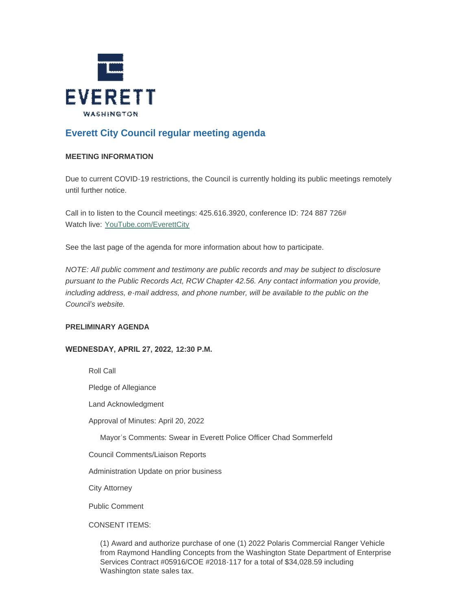

# **Everett City Council regular meeting agenda**

# **MEETING INFORMATION**

Due to current COVID-19 restrictions, the Council is currently holding its public meetings remotely until further notice.

Call in to listen to the Council meetings: 425.616.3920, conference ID: 724 887 726# Watch live: [YouTube.com/EverettCity](http://youtube.com/everettcity)

See the last page of the agenda for more information about how to participate.

*NOTE: All public comment and testimony are public records and may be subject to disclosure pursuant to the Public Records Act, RCW Chapter 42.56. Any contact information you provide,*  including address, e-mail address, and phone number, will be available to the public on the *Council's website.*

# **PRELIMINARY AGENDA**

# **WEDNESDAY, APRIL 27, 2022, 12:30 P.M.**

Roll Call

Pledge of Allegiance

Land Acknowledgment

Approval of Minutes: April 20, 2022

Mayor's Comments: Swear in Everett Police Officer Chad Sommerfeld

Council Comments/Liaison Reports

Administration Update on prior business

City Attorney

Public Comment

CONSENT ITEMS:

(1) Award and authorize purchase of one (1) 2022 Polaris Commercial Ranger Vehicle from Raymond Handling Concepts from the Washington State Department of Enterprise Services Contract #05916/COE #2018-117 for a total of \$34,028.59 including Washington state sales tax.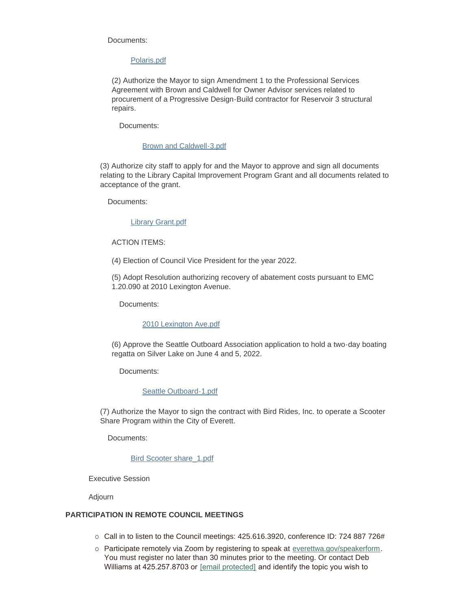#### Documents:

#### [Polaris.pdf](https://www.everettwa.gov/AgendaCenter/ViewFile/Item/13676?fileID=80824)

(2) Authorize the Mayor to sign Amendment 1 to the Professional Services Agreement with Brown and Caldwell for Owner Advisor services related to procurement of a Progressive Design-Build contractor for Reservoir 3 structural repairs.

Documents:

#### [Brown and Caldwell-3.pdf](https://www.everettwa.gov/AgendaCenter/ViewFile/Item/13645?fileID=80825)

(3) Authorize city staff to apply for and the Mayor to approve and sign all documents relating to the Library Capital Improvement Program Grant and all documents related to acceptance of the grant.

Documents:

#### [Library Grant.pdf](https://www.everettwa.gov/AgendaCenter/ViewFile/Item/13670?fileID=80813)

#### ACTION ITEMS:

(4) Election of Council Vice President for the year 2022.

(5) Adopt Resolution authorizing recovery of abatement costs pursuant to EMC 1.20.090 at 2010 Lexington Avenue.

Documents:

#### [2010 Lexington Ave.pdf](https://www.everettwa.gov/AgendaCenter/ViewFile/Item/13642?fileID=80822)

(6) Approve the Seattle Outboard Association application to hold a two-day boating regatta on Silver Lake on June 4 and 5, 2022.

Documents:

## [Seattle Outboard-1.pdf](https://www.everettwa.gov/AgendaCenter/ViewFile/Item/13643?fileID=80823)

(7) Authorize the Mayor to sign the contract with Bird Rides, Inc. to operate a Scooter Share Program within the City of Everett.

Documents:

#### [Bird Scooter share\\_1.pdf](https://www.everettwa.gov/AgendaCenter/ViewFile/Item/13673?fileID=80827)

Executive Session

Adjourn

## **PARTICIPATION IN REMOTE COUNCIL MEETINGS**

- $\circ$  Call in to listen to the Council meetings: 425.616.3920, conference ID: 724 887 726#
- o Participate remotely via Zoom by registering to speak at [everettwa.gov/speakerform.](http://everettwa.gov/speakerform) You must register no later than 30 minutes prior to the meeting. Or contact Deb Williams at 425.257.8703 or [\[email protected\]](https://www.everettwa.gov/cdn-cgi/l/email-protection#0763706e6b6b6e666a744762716275627373706629606871) and identify the topic you wish to